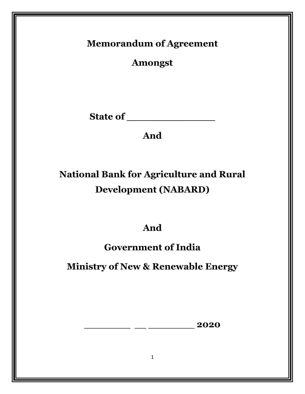## **Memorandum of Agreement**

**Amongst**

**State of \_\_\_\_\_\_\_\_\_\_\_\_\_\_**

## **And**

# **National Bank for Agriculture and Rural Development (NABARD)**

## **And**

## **Government of India**

**Ministry of New & Renewable Energy** 

\_\_\_\_\_\_\_\_ \_\_ \_\_\_\_\_\_\_\_ **2020**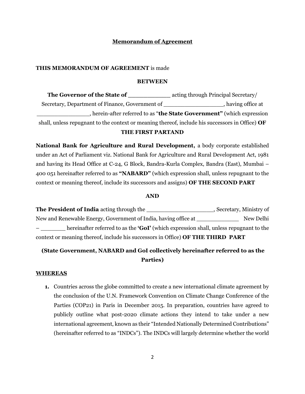## **Memorandum of Agreement**

### **THIS MEMORANDUM OF AGREEMENT** is made

#### **BETWEEN**

**The Governor of the State of \_\_\_\_\_\_\_\_\_\_\_\_\_** acting through Principal Secretary/ Secretary, Department of Finance, Government of \_\_\_\_\_\_\_\_\_\_\_\_\_\_\_\_\_\_, having office at \_\_\_\_\_\_\_\_\_\_\_\_\_\_\_, herein-after referred to as "**the State Government"** (which expression shall, unless repugnant to the context or meaning thereof, include his successors in Office) **OF THE FIRST PARTAND**

**National Bank for Agriculture and Rural Development,** a body corporate established under an Act of Parliament viz. National Bank for Agriculture and Rural Development Act, 1981 and having its Head Office at C-24, G Block, Bandra-Kurla Complex, Bandra (East), Mumbai – 400 051 hereinafter referred to as **"NABARD"** (which expression shall, unless repugnant to the context or meaning thereof, include its successors and assigns) **OF THE SECOND PART**

### **AND**

**The President of India** acting through the \_\_\_\_\_\_\_\_\_\_\_\_\_\_\_\_\_\_\_\_, Secretary, Ministry of New and Renewable Energy, Government of India, having office at \_\_\_\_\_\_\_\_\_\_\_\_ New Delhi – \_\_\_\_\_\_\_ hereinafter referred to as the **'GoI'** (which expression shall, unless repugnant to the context or meaning thereof, include his successors in Office) **OF THE THIRD PART** 

## **(State Government, NABARD and GoI collectively hereinafter referred to as the Parties)**

### **WHEREAS**

**1.** Countries across the globe committed to create a new international climate agreement by the conclusion of the U.N. Framework Convention on Climate Change Conference of the Parties (COP21) in Paris in December 2015. In preparation, countries have agreed to publicly outline what post-2020 climate actions they intend to take under a new international agreement, known as their "Intended Nationally Determined Contributions" (hereinafter referred to as "INDCs"). The INDCs will largely determine whether the world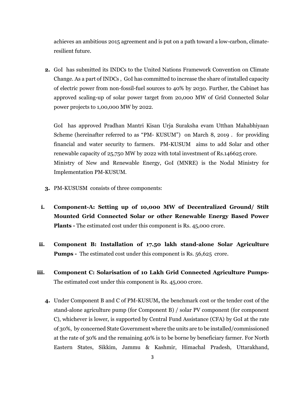achieves an ambitious 2015 agreement and is put on a path toward a low-carbon, climateresilient future.

**2.** GoI has submitted its INDCs to the United Nations Framework Convention on Climate Change. As a part of INDCs , GoI has committed to increase the share of installed capacity of electric power from non-fossil-fuel sources to 40% by 2030. Further, the Cabinet has approved scaling-up of solar power target from 20,000 MW of Grid Connected Solar power projects to 1,00,000 MW by 2022.

GoI has approved Pradhan Mantri Kisan Urja Suraksha evam Utthan Mahabhiyaan Scheme (hereinafter referred to as "PM- KUSUM") on March 8, 2019 . for providing financial and water security to farmers. PM-KUSUM aims to add Solar and other renewable capacity of 25,750 MW by 2022 with total investment of Rs.146625 crore. Ministry of New and Renewable Energy, GoI (MNRE) is the Nodal Ministry for Implementation PM-KUSUM.

- **3.** PM-KUSUSM consists of three components:
- **i. Component-A: Setting up of 10,000 MW of Decentralized Ground/ Stilt Mounted Grid Connected Solar or other Renewable Energy Based Power Plants** - The estimated cost under this component is Rs. 45,000 crore.
- **ii. Component B: Installation of 17.50 lakh stand-alone Solar Agriculture Pumps** - The estimated cost under this component is Rs. 56,625 crore.
- **iii. Component C: Solarisation of 10 Lakh Grid Connected Agriculture Pumps-**The estimated cost under this component is Rs. 45,000 crore.
	- **4.** Under Component B and C of PM-KUSUM**,** the benchmark cost or the tender cost of the stand-alone agriculture pump (for Component B) / solar PV component (for component C), whichever is lower, is supported by Central Fund Assistance (CFA) by GoI at the rate of 30%, by concerned State Government where the units are to be installed/commissioned at the rate of 30% and the remaining 40% is to be borne by beneficiary farmer. For North Eastern States, Sikkim, Jammu & Kashmir, Himachal Pradesh, Uttarakhand,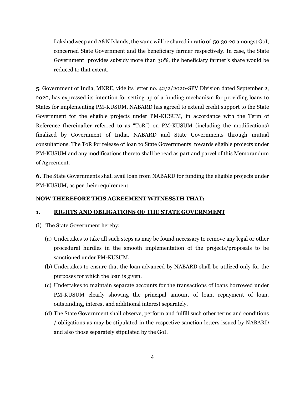Lakshadweep and A&N Islands, the same will be shared in ratio of 50:30:20 amongst GoI, concerned State Government and the beneficiary farmer respectively. In case, the State Government provides subsidy more than 30%, the beneficiary farmer's share would be reduced to that extent.

**5**. Government of India, MNRE, vide its letter no. 42/2/2020-SPV Division dated September 2, 2020, has expressed its intention for setting up of a funding mechanism for providing loans to States for implementing PM-KUSUM. NABARD has agreed to extend credit support to the State Government for the eligible projects under PM-KUSUM, in accordance with the Term of Reference (hereinafter referred to as "ToR") on PM-KUSUM (including the modifications) finalized by Government of India, NABARD and State Governments through mutual consultations. The ToR for release of loan to State Governments towards eligible projects under PM-KUSUM and any modifications thereto shall be read as part and parcel of this Memorandum of Agreement.

**6.** The State Governments shall avail loan from NABARD for funding the eligible projects under PM-KUSUM, as per their requirement.

## **NOW THEREFORE THIS AGREEMENT WITNESSTH THAT:**

## **1. RIGHTS AND OBLIGATIONS OF THE STATE GOVERNMENT**

- (i) The State Government hereby:
	- (a) Undertakes to take all such steps as may be found necessary to remove any legal or other procedural hurdles in the smooth implementation of the projects/proposals to be sanctioned under PM-KUSUM.
	- (b) Undertakes to ensure that the loan advanced by NABARD shall be utilized only for the purposes for which the loan is given.
	- (c) Undertakes to maintain separate accounts for the transactions of loans borrowed under PM-KUSUM clearly showing the principal amount of loan, repayment of loan, outstanding, interest and additional interest separately.
	- (d) The State Government shall observe, perform and fulfill such other terms and conditions / obligations as may be stipulated in the respective sanction letters issued by NABARD and also those separately stipulated by the GoI.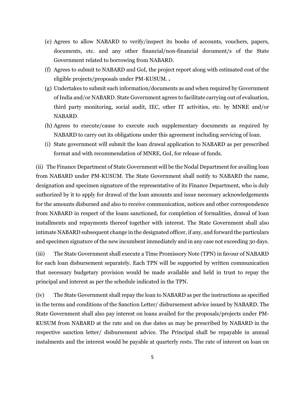- (e) Agrees to allow NABARD to verify/inspect its books of accounts, vouchers, papers, documents, etc. and any other financial/non-financial document/s of the State Government related to borrowing from NABARD.
- (f) Agrees to submit to NABARD and GoI, the project report along with estimated cost of the eligible projects/proposals under PM-KUSUM. *.*
- (g) Undertakes to submit such information/documents as and when required by Government of India and/or NABARD. State Government agrees to facilitate carrying out of evaluation, third party monitoring, social audit, IEC, other IT activities, etc. by MNRE and/or NABARD.
- (h) Agrees to execute/cause to execute such supplementary documents as required by NABARD to carry out its obligations under this agreement including servicing of loan.
- (i) State government will submit the loan drawal application to NABARD as per prescribed format and with recommendation of MNRE, GoI, for release of funds.

(ii) The Finance Department of State Government will be the Nodal Department for availing loan from NABARD under PM-KUSUM. The State Government shall notify to NABARD the name, designation and specimen signature of the representative of its Finance Department, who is duly authorized by it to apply for drawal of the loan amounts and issue necessary acknowledgements for the amounts disbursed and also to receive communication, notices and other correspondence from NABARD in respect of the loans sanctioned, for completion of formalities, drawal of loan installments and repayments thereof together with interest. The State Government shall also intimate NABARD subsequent change in the designated officer, if any, and forward the particulars and specimen signature of the new incumbent immediately and in any case not exceeding 30 days.

(iii) The State Government shall execute a Time Promissory Note (TPN) in favour of NABARD for each loan disbursement separately. Each TPN will be supported by written communication that necessary budgetary provision would be made available and held in trust to repay the principal and interest as per the schedule indicated in the TPN.

(iv) The State Government shall repay the loan to NABARD as per the instructions as specified in the terms and conditions of the Sanction Letter/ disbursement advice issued by NABARD. The State Government shall also pay interest on loans availed for the proposals/projects under PM-KUSUM from NABARD at the rate and on due dates as may be prescribed by NABARD in the respective sanction letter/ disbursement advice. The Principal shall be repayable in annual instalments and the interest would be payable at quarterly rests. The rate of interest on loan on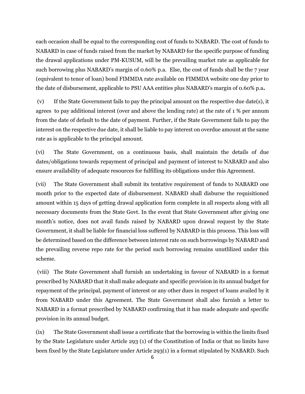each occasion shall be equal to the corresponding cost of funds to NABARD. The cost of funds to NABARD in case of funds raised from the market by NABARD for the specific purpose of funding the drawal applications under PM-KUSUM, will be the prevailing market rate as applicable for such borrowing plus NABARD's margin of 0.60% p.a. Else, the cost of funds shall be the 7 year (equivalent to tenor of loan) bond FIMMDA rate available on FIMMDA website one day prior to the date of disbursement, applicable to PSU AAA entities plus NABARD's margin of 0.60% p.a**.** 

(v) If the State Government fails to pay the principal amount on the respective due date(s), it agrees to pay additional interest (over and above the lending rate) at the rate of 1 % per annum from the date of default to the date of payment. Further, if the State Government fails to pay the interest on the respective due date, it shall be liable to pay interest on overdue amount at the same rate as is applicable to the principal amount.

(vi) The State Government, on a continuous basis, shall maintain the details of due dates/obligations towards repayment of principal and payment of interest to NABARD and also ensure availability of adequate resources for fulfilling its obligations under this Agreement.

(vii) The State Government shall submit its tentative requirement of funds to NABARD one month prior to the expected date of disbursement. NABARD shall disburse the requisitioned amount within 15 days of getting drawal application form complete in all respects along with all necessary documents from the State Govt. In the event that State Government after giving one month's notice, does not avail funds raised by NABARD upon drawal request by the State Government, it shall be liable for financial loss suffered by NABARD in this process. This loss will be determined based on the difference between interest rate on such borrowings by NABARD and the prevailing reverse repo rate for the period such borrowing remains unutlilized under this scheme.

(viii) The State Government shall furnish an undertaking in favour of NABARD in a format prescribed by NABARD that it shall make adequate and specific provision in its annual budget for repayment of the principal, payment of interest or any other dues in respect of loans availed by it from NABARD under this Agreement. The State Government shall also furnish a letter to NABARD in a format prescribed by NABARD confirming that it has made adequate and specific provision in its annual budget.

(ix) The State Government shall issue a certificate that the borrowing is within the limits fixed by the State Legislature under Article 293 (1) of the Constitution of India or that no limits have been fixed by the State Legislature under Article 293(1) in a format stipulated by NABARD. Such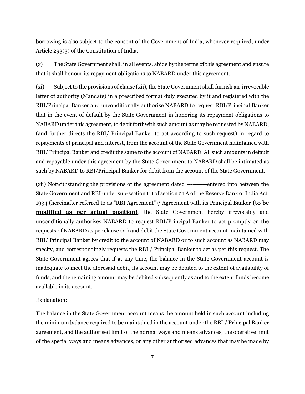borrowing is also subject to the consent of the Government of India, whenever required, under Article 293(3) of the Constitution of India.

(x) The State Government shall, in all events, abide by the terms of this agreement and ensure that it shall honour its repayment obligations to NABARD under this agreement.

(xi) Subject to the provisions of clause (xii), the State Government shall furnish an irrevocable letter of authority (Mandate) in a prescribed format duly executed by it and registered with the RBI/Principal Banker and unconditionally authorise NABARD to request RBI/Principal Banker that in the event of default by the State Government in honoring its repayment obligations to NABARD under this agreement, to debit forthwith such amount as may be requested by NABARD, (and further directs the RBI/ Principal Banker to act according to such request) in regard to repayments of principal and interest, from the account of the State Government maintained with RBI/ Principal Banker and credit the same to the account of NABARD. All such amounts in default and repayable under this agreement by the State Government to NABARD shall be intimated as such by NABARD to RBI/Principal Banker for debit from the account of the State Government.

(xii) Notwithstanding the provisions of the agreement dated ----------entered into between the State Government and RBI under sub-section (1) of section 21 A of the Reserve Bank of India Act, 1934 (hereinafter referred to as "RBI Agreement")/ Agreement with its Principal Banker **{to be modified as per actual position**, the State Government hereby irrevocably and unconditionally authorises NABARD to request RBI/Principal Banker to act promptly on the requests of NABARD as per clause (xi) and debit the State Government account maintained with RBI/ Principal Banker by credit to the account of NABARD or to such account as NABARD may specify, and correspondingly requests the RBI / Principal Banker to act as per this request. The State Government agrees that if at any time, the balance in the State Government account is inadequate to meet the aforesaid debit, its account may be debited to the extent of availability of funds, and the remaining amount may be debited subsequently as and to the extent funds become available in its account.

## Explanation:

The balance in the State Government account means the amount held in such account including the minimum balance required to be maintained in the account under the RBI / Principal Banker agreement, and the authorised limit of the normal ways and means advances, the operative limit of the special ways and means advances, or any other authorised advances that may be made by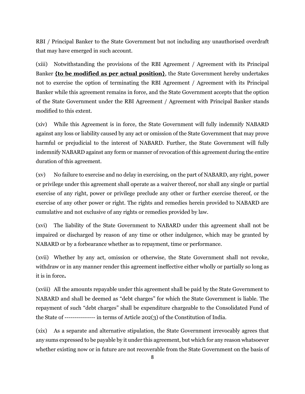RBI / Principal Banker to the State Government but not including any unauthorised overdraft that may have emerged in such account.

(xiii) Notwithstanding the provisions of the RBI Agreement / Agreement with its Principal Banker **{to be modified as per actual position}**, the State Government hereby undertakes not to exercise the option of terminating the RBI Agreement / Agreement with its Principal Banker while this agreement remains in force, and the State Government accepts that the option of the State Government under the RBI Agreement / Agreement with Principal Banker stands modified to this extent.

(xiv) While this Agreement is in force, the State Government will fully indemnify NABARD against any loss or liability caused by any act or omission of the State Government that may prove harmful or prejudicial to the interest of NABARD. Further, the State Government will fully indemnify NABARD against any form or manner of revocation of this agreement during the entire duration of this agreement.

(xv) No failure to exercise and no delay in exercising, on the part of NABARD, any right, power or privilege under this agreement shall operate as a waiver thereof, nor shall any single or partial exercise of any right, power or privilege preclude any other or further exercise thereof, or the exercise of any other power or right. The rights and remedies herein provided to NABARD are cumulative and not exclusive of any rights or remedies provided by law.

(xvi) The liability of the State Government to NABARD under this agreement shall not be impaired or discharged by reason of any time or other indulgence, which may be granted by NABARD or by a forbearance whether as to repayment, time or performance.

(xvii) Whether by any act, omission or otherwise, the State Government shall not revoke, withdraw or in any manner render this agreement ineffective either wholly or partially so long as it is in force*.*

(xviii) All the amounts repayable under this agreement shall be paid by the State Government to NABARD and shall be deemed as "debt charges" for which the State Government is liable. The repayment of such "debt charges" shall be expenditure chargeable to the Consolidated Fund of the State of --------------- in terms of Article 202(3) of the Constitution of India.

(xix) As a separate and alternative stipulation, the State Government irrevocably agrees that any sums expressed to be payable by it under this agreement, but which for any reason whatsoever whether existing now or in future are not recoverable from the State Government on the basis of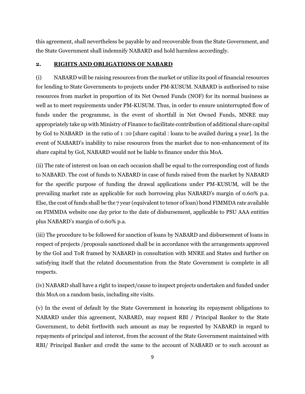this agreement, shall nevertheless be payable by and recoverable from the State Government, and the State Government shall indemnify NABARD and hold harmless accordingly.

## **2. RIGHTS AND OBLIGATIONS OF NABARD**

(i) NABARD will be raising resources from the market or utilize its pool of financial resources for lending to State Governments to projects under PM-KUSUM. NABARD is authorised to raise resources from market in proportion of its Net Owned Funds (NOF) for its normal business as well as to meet requirements under PM-KUSUM. Thus, in order to ensure uninterrupted flow of funds under the programme, in the event of shortfall in Net Owned Funds, MNRE may appropriately take up with Ministry of Finance to facilitate contribution of additional share capital by GoI to NABARD in the ratio of 1 :10 [share capital : loans to be availed during a year]. In the event of NABARD's inability to raise resources from the market due to non-enhancement of its share capital by GoI, NABARD would not be liable to finance under this MoA.

(ii) The rate of interest on loan on each occasion shall be equal to the corresponding cost of funds to NABARD. The cost of funds to NABARD in case of funds raised from the market by NABARD for the specific purpose of funding the drawal applications under PM-KUSUM, will be the prevailing market rate as applicable for such borrowing plus NABARD's margin of 0.60% p.a. Else, the cost of funds shall be the 7 year (equivalent to tenor of loan) bond FIMMDA rate available on FIMMDA website one day prior to the date of disbursement, applicable to PSU AAA entities plus NABARD's margin of 0.60% p.a.

(iii) The procedure to be followed for sanction of loans by NABARD and disbursement of loans in respect of projects /proposals sanctioned shall be in accordance with the arrangements approved by the GoI and ToR framed by NABARD in consultation with MNRE and States and further on satisfying itself that the related documentation from the State Government is complete in all respects.

(iv) NABARD shall have a right to inspect/cause to inspect projects undertaken and funded under this MoA on a random basis, including site visits.

(v) In the event of default by the State Government in honoring its repayment obligations to NABARD under this agreement, NABARD, may request RBI / Principal Banker to the State Government, to debit forthwith such amount as may be requested by NABARD in regard to repayments of principal and interest, from the account of the State Government maintained with RBI/ Principal Banker and credit the same to the account of NABARD or to such account as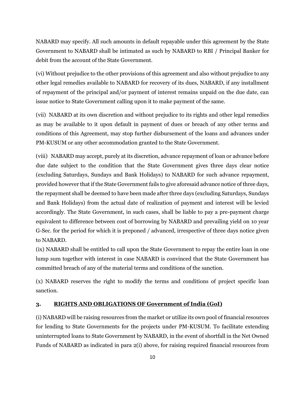NABARD may specify. All such amounts in default repayable under this agreement by the State Government to NABARD shall be intimated as such by NABARD to RBI / Principal Banker for debit from the account of the State Government.

(vi) Without prejudice to the other provisions of this agreement and also without prejudice to any other legal remedies available to NABARD for recovery of its dues, NABARD, if any installment of repayment of the principal and/or payment of interest remains unpaid on the due date, can issue notice to State Government calling upon it to make payment of the same.

(vii) NABARD at its own discretion and without prejudice to its rights and other legal remedies as may be available to it upon default in payment of dues or breach of any other terms and conditions of this Agreement, may stop further disbursement of the loans and advances under PM-KUSUM or any other accommodation granted to the State Government.

(viii) NABARD may accept, purely at its discretion, advance repayment of loan or advance before due date subject to the condition that the State Government gives three days clear notice (excluding Saturdays, Sundays and Bank Holidays) to NABARD for such advance repayment, provided however that if the State Government fails to give aforesaid advance notice of three days, the repayment shall be deemed to have been made after three days (excluding Saturdays, Sundays and Bank Holidays) from the actual date of realization of payment and interest will be levied accordingly. The State Government, in such cases, shall be liable to pay a pre-payment charge equivalent to difference between cost of borrowing by NABARD and prevailing yield on 10 year G-Sec. for the period for which it is preponed / advanced, irrespective of three days notice given to NABARD.

(ix) NABARD shall be entitled to call upon the State Government to repay the entire loan in one lump sum together with interest in case NABARD is convinced that the State Government has committed breach of any of the material terms and conditions of the sanction.

(x) NABARD reserves the right to modify the terms and conditions of project specific loan sanction.

## **3. RIGHTS AND OBLIGATIONS OF Government of India (GoI)**

(i) NABARD will be raising resources from the market or utilize its own pool of financial resources for lending to State Governments for the projects under PM-KUSUM. To facilitate extending uninterrupted loans to State Government by NABARD, in the event of shortfall in the Net Owned Funds of NABARD as indicated in para 2(i) above, for raising required financial resources from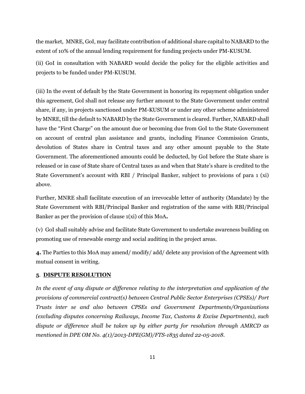the market, MNRE, GoI, may facilitate contribution of additional share capital to NABARD to the extent of 10% of the annual lending requirement for funding projects under PM-KUSUM.

(ii) GoI in consultation with NABARD would decide the policy for the eligible activities and projects to be funded under PM-KUSUM.

(iii) In the event of default by the State Government in honoring its repayment obligation under this agreement, GoI shall not release any further amount to the State Government under central share, if any, in projects sanctioned under PM-KUSUM or under any other scheme administered by MNRE, till the default to NABARD by the State Government is cleared. Further, NABARD shall have the "First Charge" on the amount due or becoming due from GoI to the State Government on account of central plan assistance and grants, including Finance Commission Grants, devolution of States share in Central taxes and any other amount payable to the State Government. The aforementioned amounts could be deducted, by GoI before the State share is released or in case of State share of Central taxes as and when that State's share is credited to the State Government's account with RBI / Principal Banker, subject to provisions of para 1 (xi) above.

Further, MNRE shall facilitate execution of an irrevocable letter of authority (Mandate) by the State Government with RBI/Principal Banker and registration of the same with RBI/Principal Banker as per the provision of clause 1(xi) of this MoA**.** 

(v) GoI shall suitably advise and facilitate State Government to undertake awareness building on promoting use of renewable energy and social auditing in the project areas.

**4.** The Parties to this MoA may amend/ modify/ add/ delete any provision of the Agreement with mutual consent in writing.

## **5**. **DISPUTE RESOLUTION**

*In the event of any dispute or difference relating to the interpretation and application of the provisions of commercial contract(s) between Central Public Sector Enterprises (CPSEs)/ Port Trusts inter se and also between CPSEs and Government Departments/Organizations (excluding disputes concerning Railways, Income Tax, Customs & Excise Departments), such dispute or difference shall be taken up by either party for resolution through AMRCD as mentioned in DPE OM No. 4(1)/2013-DPE(GM)/FTS-1835 dated 22-05-2018.*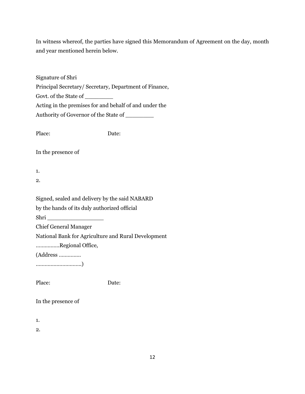In witness whereof, the parties have signed this Memorandum of Agreement on the day, month and year mentioned herein below.

| Signature of Shri                                      |       |
|--------------------------------------------------------|-------|
| Principal Secretary/ Secretary, Department of Finance, |       |
| Govt. of the State of                                  |       |
| Acting in the premises for and behalf of and under the |       |
| Authority of Governor of the State of _________        |       |
|                                                        |       |
| Place:                                                 | Date: |
|                                                        |       |
| In the presence of                                     |       |
|                                                        |       |
| 1.                                                     |       |
| 2.                                                     |       |
|                                                        |       |
| Signed, sealed and delivery by the said NABARD         |       |
| by the hands of its duly authorized official           |       |
| Shri                                                   |       |
| <b>Chief General Manager</b>                           |       |
| National Bank for Agriculture and Rural Development    |       |
| Regional Office,                                       |       |
| $(Address \dots)$                                      |       |
|                                                        |       |
|                                                        |       |
| Place:                                                 | Date: |
|                                                        |       |
| In the presence of                                     |       |
|                                                        |       |

1.

2.